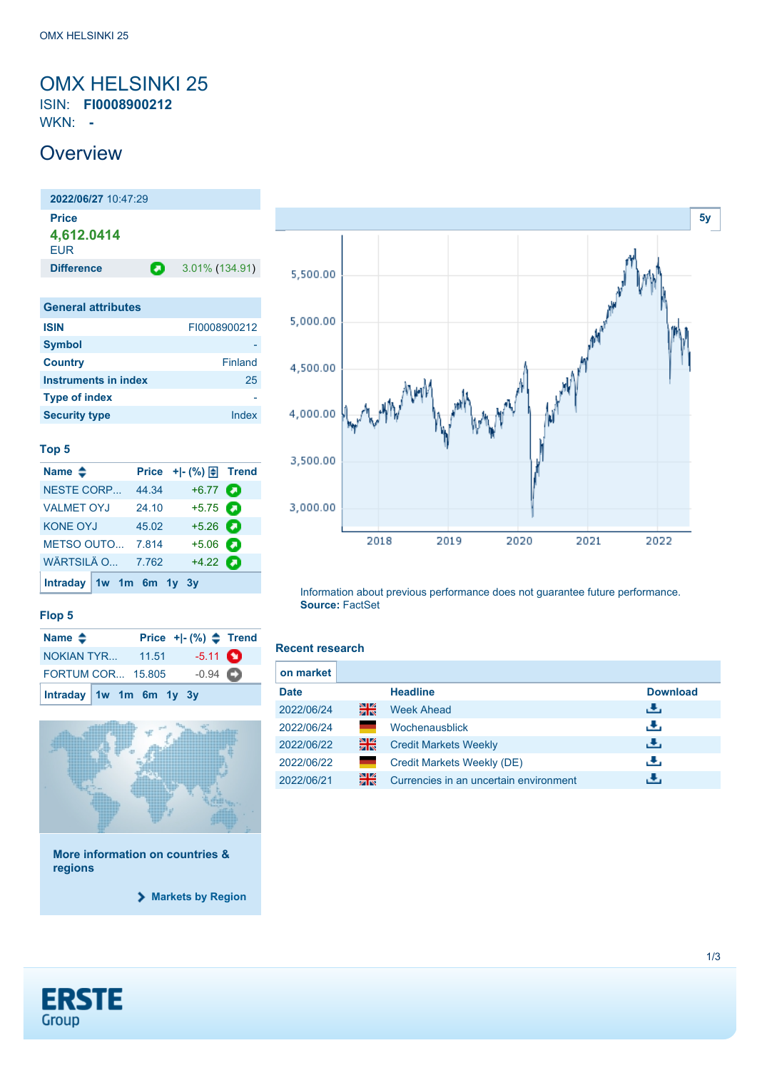### <span id="page-0-0"></span>OMX HELSINKI 25 ISIN: **FI0008900212** WKN: **-**

**Overview** 

**2022/06/27** 10:47:29 **Price 4,612.0414** EUR **Difference 2** 3.01% (134.91) **General attributes ISIN** FI0008900212 **Symbol Country** Finland **Instruments in index** 25 **Type of index Security type Index** 

#### **Top 5**

| Name $\triangle$        |  |       | Price $+$ $-$ (%) $\bigoplus$ Trend |   |
|-------------------------|--|-------|-------------------------------------|---|
| <b>NESTE CORP</b>       |  | 44.34 | $+6.77$ $\bullet$                   |   |
| <b>VALMET OYJ</b>       |  | 24.10 | $+5.75$ $\bullet$                   |   |
| <b>KONE OYJ</b>         |  | 45.02 | $+5.26$ $\bullet$                   |   |
| METSO OUTO 7.814        |  |       | $+5.06$                             | О |
| WÄRTSILÄ O              |  | 7.762 | $+4.22$ $\bullet$                   |   |
| Intraday 1w 1m 6m 1y 3y |  |       |                                     |   |



Information about previous performance does not guarantee future performance. **Source:** FactSet

**Recent research**

#### **Flop 5**

| Name $\triangle$         |  | Price $+[-(%) \triangleq$ Trend |  |
|--------------------------|--|---------------------------------|--|
| <b>NOKIAN TYR 11.51</b>  |  | $-5.11$ $\bullet$               |  |
| <b>FORTUM COR 15.805</b> |  | $-0.94$ $\bullet$               |  |
| Intraday 1w 1m 6m 1y 3y  |  |                                 |  |



**More information on countries & regions**

**[Markets by Region](https://de.products.erstegroup.com/Retail/en/MarketsAndTrends/Markets_by_Region/index.phtml)**

### **ERSTE** Group

| on market   |    |                                        |                 |
|-------------|----|----------------------------------------|-----------------|
| <b>Date</b> |    | <b>Headline</b>                        | <b>Download</b> |
| 2022/06/24  | 을중 | <b>Week Ahead</b>                      | æ,              |
| 2022/06/24  |    | Wochenausblick                         | æ,              |
| 2022/06/22  | 읡  | <b>Credit Markets Weekly</b>           | Æ,              |
| 2022/06/22  |    | Credit Markets Weekly (DE)             | υ.              |
| 2022/06/21  | 을중 | Currencies in an uncertain environment |                 |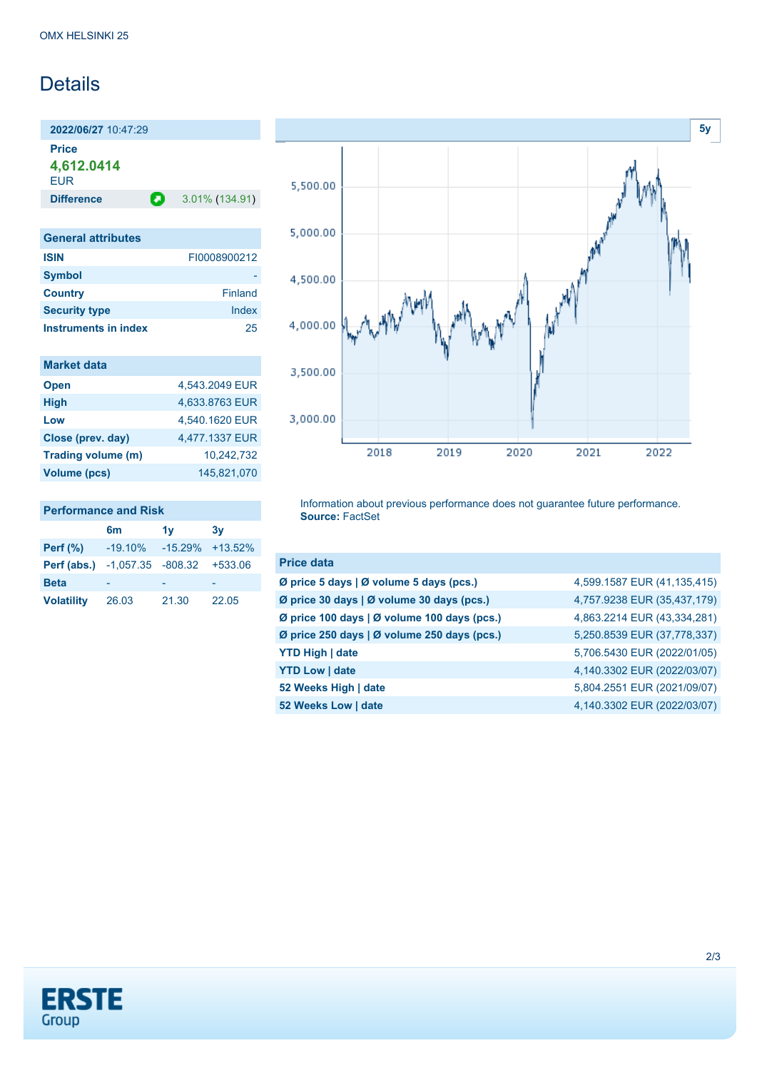## Details

**2022/06/27** 10:47:29 **Price**

**4,612.0414**

**EUR** 

**Difference a** 3.01% (134.91)

| <b>General attributes</b> |                |
|---------------------------|----------------|
| <b>ISIN</b>               | FI0008900212   |
| <b>Symbol</b>             |                |
| <b>Country</b>            | <b>Finland</b> |
| <b>Security type</b>      | Index          |
| Instruments in index      | 25             |

| <b>Market data</b> |                |
|--------------------|----------------|
| <b>Open</b>        | 4,543.2049 EUR |
| <b>High</b>        | 4,633.8763 EUR |
| Low                | 4,540.1620 EUR |
| Close (prev. day)  | 4,477.1337 EUR |
| Trading volume (m) | 10,242,732     |
| Volume (pcs)       | 145.821.070    |

| <b>Performance and Risk</b>                    |                              |       |       |  |  |
|------------------------------------------------|------------------------------|-------|-------|--|--|
|                                                | 6 <sub>m</sub>               | 1v    | 3v    |  |  |
| <b>Perf</b> (%)                                | $-19.10\% -15.29\% +13.52\%$ |       |       |  |  |
| <b>Perf (abs.)</b> $-1,057.35 -808.32 +533.06$ |                              |       |       |  |  |
| <b>Beta</b>                                    |                              |       |       |  |  |
| <b>Volatility</b>                              | 26.03                        | 21.30 | 22.05 |  |  |



Information about previous performance does not guarantee future performance. **Source:** FactSet

| <b>Price data</b>                           |                             |
|---------------------------------------------|-----------------------------|
| Ø price 5 days   Ø volume 5 days (pcs.)     | 4,599.1587 EUR (41,135,415) |
| Ø price 30 days   Ø volume 30 days (pcs.)   | 4,757.9238 EUR (35,437,179) |
| Ø price 100 days   Ø volume 100 days (pcs.) | 4,863.2214 EUR (43,334,281) |
| Ø price 250 days   Ø volume 250 days (pcs.) | 5,250.8539 EUR (37,778,337) |
| <b>YTD High   date</b>                      | 5,706.5430 EUR (2022/01/05) |
| <b>YTD Low   date</b>                       | 4,140.3302 EUR (2022/03/07) |
| 52 Weeks High   date                        | 5,804.2551 EUR (2021/09/07) |
| 52 Weeks Low   date                         | 4,140.3302 EUR (2022/03/07) |